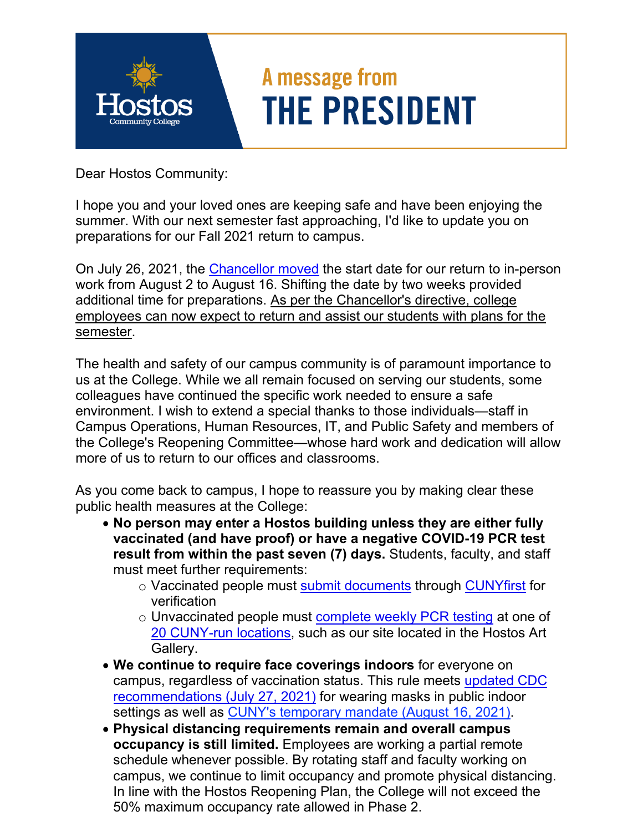

## A message from **THE PRESIDENT**

Dear Hostos Community:

I hope you and your loved ones are keeping safe and have been enjoying the summer. With our next semester fast approaching, I'd like to update you on preparations for our Fall 2021 return to campus.

On July 26, 2021, the [Chancellor moved](https://www.cuny.edu/coronavirus/university-updates/update-on-return-to-work-date-uploading-vaccination-verification/) the start date for our return to in-person work from August 2 to August 16. Shifting the date by two weeks provided additional time for preparations. As per the Chancellor's directive, college employees can now expect to return and assist our students with plans for the semester.

The health and safety of our campus community is of paramount importance to us at the College. While we all remain focused on serving our students, some colleagues have continued the specific work needed to ensure a safe environment. I wish to extend a special thanks to those individuals—staff in Campus Operations, Human Resources, IT, and Public Safety and members of the College's Reopening Committee—whose hard work and dedication will allow more of us to return to our offices and classrooms.

As you come back to campus, I hope to reassure you by making clear these public health measures at the College:

- **No person may enter a Hostos building unless they are either fully vaccinated (and have proof) or have a negative COVID-19 PCR test result from within the past seven (7) days.** Students, faculty, and staff must meet further requirements:
	- o Vaccinated people must [submit documents](https://cunyithelp.cuny.edu/sp?id=kb_search&spa=1&query=%22Guide%20to%20Vaccination%20Verification%22) through [CUNYfirst](https://ssologin.cuny.edu/cuny.html?resource_url=https%3A%2F%2Fhome.cunyfirst.cuny.edu%252Fpsp%252Fcnyepprd%252FEMPLOYEE%252FEMPL%252Fh%252F%3Ftab%253DDEFAULT) for verification
	- o Unvaccinated people must [complete weekly PCR testing](https://www.cuny.edu/coronavirus/covid-19-testing-program-facultyandstaff-faq/) at one of [20 CUNY-run locations,](https://www.cuny.edu/coronavirus/cuny-covid-19-testing-site-locations/) such as our site located in the Hostos Art Gallery.
- **We continue to require face coverings indoors** for everyone on campus, regardless of vaccination status. This rule meets [updated CDC](https://www.cdc.gov/coronavirus/2019-ncov/vaccines/fully-vaccinated-guidance.html)  [recommendations \(July 27, 2021\)](https://www.cdc.gov/coronavirus/2019-ncov/vaccines/fully-vaccinated-guidance.html) for wearing masks in public indoor settings as well as [CUNY's temporary mandate \(August 16, 2021\)](https://www.cuny.edu/coronavirus/university-updates/clarity-new-mask/).
- **Physical distancing requirements remain and overall campus occupancy is still limited.** Employees are working a partial remote schedule whenever possible. By rotating staff and faculty working on campus, we continue to limit occupancy and promote physical distancing. In line with the Hostos Reopening Plan, the College will not exceed the 50% maximum occupancy rate allowed in Phase 2.